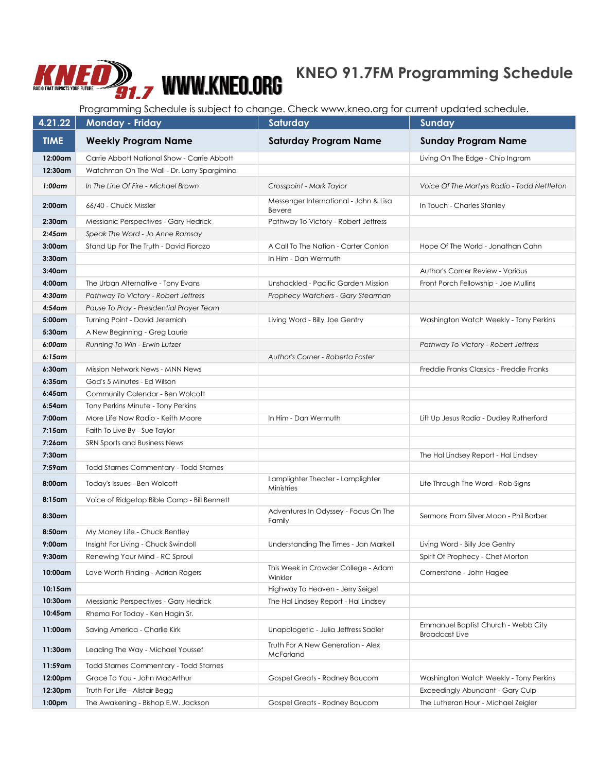## **KNEO 91.7FM Programming Schedule**

Programming Schedule is subject to change. Check www.kneo.org for current updated schedule.

| 4.21.22            | <b>Monday - Friday</b>                        | Saturday                                               | Sunday                                                       |
|--------------------|-----------------------------------------------|--------------------------------------------------------|--------------------------------------------------------------|
| <b>TIME</b>        | <b>Weekly Program Name</b>                    | <b>Saturday Program Name</b>                           | <b>Sunday Program Name</b>                                   |
| 12:00am            | Carrie Abbott National Show - Carrie Abbott   |                                                        | Living On The Edge - Chip Ingram                             |
| 12:30am            | Watchman On The Wall - Dr. Larry Spargimino   |                                                        |                                                              |
| $1:00$ am          | In The Line Of Fire - Michael Brown           | Crosspoint - Mark Taylor                               | Voice Of The Martyrs Radio - Todd Nettleton                  |
| $2:00$ am          | 66/40 - Chuck Missler                         | Messenger International - John & Lisa<br><b>Bevere</b> | In Touch - Charles Stanley                                   |
| $2:30$ am          | Messianic Perspectives - Gary Hedrick         | Pathway To Victory - Robert Jeffress                   |                                                              |
| $2:45$ am          | Speak The Word - Jo Anne Ramsay               |                                                        |                                                              |
| $3:00$ am          | Stand Up For The Truth - David Fiorazo        | A Call To The Nation - Carter Conlon                   | Hope Of The World - Jonathan Cahn                            |
| $3:30$ am          |                                               | In Him - Dan Wermuth                                   |                                                              |
| $3:40$ am          |                                               |                                                        | Author's Corner Review - Various                             |
| $4:00$ am          | The Urban Alternative - Tony Evans            | Unshackled - Pacific Garden Mission                    | Front Porch Fellowship - Joe Mullins                         |
| $4:30$ am          | Pathway To Victory - Robert Jeffress          | Prophecy Watchers - Gary Stearman                      |                                                              |
| $4:54$ am          | Pause To Pray - Presidential Prayer Team      |                                                        |                                                              |
| $5:00$ am          | Turning Point - David Jeremiah                | Living Word - Billy Joe Gentry                         | Washington Watch Weekly - Tony Perkins                       |
| 5:30am             | A New Beginning - Greg Laurie                 |                                                        |                                                              |
| 6:00am             | Running To Win - Erwin Lutzer                 |                                                        | Pathway To Victory - Robert Jeffress                         |
| $6:15$ am          |                                               | Author's Corner - Roberta Foster                       |                                                              |
| 6:30am             | <b>Mission Network News - MNN News</b>        |                                                        | Freddie Franks Classics - Freddie Franks                     |
| $6:35$ am          | God's 5 Minutes - Ed Wilson                   |                                                        |                                                              |
| $6:45$ am          | Community Calendar - Ben Wolcott              |                                                        |                                                              |
| $6:54$ am          | Tony Perkins Minute - Tony Perkins            |                                                        |                                                              |
| 7:00am             | More Life Now Radio - Keith Moore             | In Him - Dan Wermuth                                   | Lift Up Jesus Radio - Dudley Rutherford                      |
| $7:15$ am          | Faith To Live By - Sue Taylor                 |                                                        |                                                              |
| $7:26$ am          | SRN Sports and Business News                  |                                                        |                                                              |
| 7:30am             |                                               |                                                        | The Hal Lindsey Report - Hal Lindsey                         |
| 7:59am             | <b>Todd Starnes Commentary - Todd Starnes</b> |                                                        |                                                              |
| $8:00$ am          | Today's Issues - Ben Wolcott                  | Lamplighter Theater - Lamplighter<br>Ministries        | Life Through The Word - Rob Signs                            |
| 8:15am             | Voice of Ridgetop Bible Camp - Bill Bennett   |                                                        |                                                              |
| 8:30am             |                                               | Adventures In Odyssey - Focus On The<br>Family         | Sermons From Silver Moon - Phil Barber                       |
| 8:50am             | My Money Life - Chuck Bentley                 |                                                        |                                                              |
| $9:00$ am          | Insight For Living - Chuck Swindoll           | Understanding The Times - Jan Markell                  | Living Word - Billy Joe Gentry                               |
| $9:30$ am          | Renewing Your Mind - RC Sproul                |                                                        | Spirit Of Prophecy - Chet Morton                             |
| 10:00am            | Love Worth Finding - Adrian Rogers            | This Week in Crowder College - Adam<br>Winkler         | Cornerstone - John Hagee                                     |
| 10:15am            |                                               | Highway To Heaven - Jerry Seigel                       |                                                              |
| 10:30am            | Messianic Perspectives - Gary Hedrick         | The Hal Lindsey Report - Hal Lindsey                   |                                                              |
| 10:45am            | Rhema For Today - Ken Hagin Sr.               |                                                        |                                                              |
| 11:00am            | Saving America - Charlie Kirk                 | Unapologetic - Julia Jeffress Sadler                   | Emmanuel Baptist Church - Webb City<br><b>Broadcast Live</b> |
| 11:30am            | Leading The Way - Michael Youssef             | Truth For A New Generation - Alex<br>McFarland         |                                                              |
| 11:59am            | Todd Starnes Commentary - Todd Starnes        |                                                        |                                                              |
| 12:00pm            | Grace To You - John MacArthur                 | Gospel Greats - Rodney Baucom                          | Washington Watch Weekly - Tony Perkins                       |
| 12:30pm            | Truth For Life - Alistair Begg                |                                                        | Exceedingly Abundant - Gary Culp                             |
| 1:00 <sub>pm</sub> | The Awakening - Bishop E.W. Jackson           | Gospel Greats - Rodney Baucom                          | The Lutheran Hour - Michael Zeigler                          |